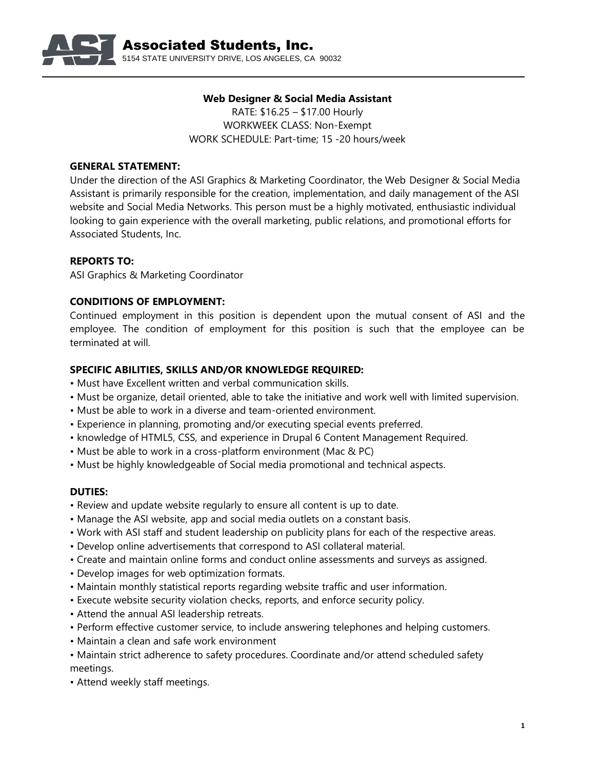

## **Web Designer & Social Media Assistant** RATE: \$16.25 – \$17.00 Hourly WORKWEEK CLASS: Non-Exempt WORK SCHEDULE: Part-time; 15 -20 hours/week

# **GENERAL STATEMENT:**

Under the direction of the ASI Graphics & Marketing Coordinator, the Web Designer & Social Media Assistant is primarily responsible for the creation, implementation, and daily management of the ASI website and Social Media Networks. This person must be a highly motivated, enthusiastic individual looking to gain experience with the overall marketing, public relations, and promotional efforts for Associated Students, Inc.

## **REPORTS TO:**

ASI Graphics & Marketing Coordinator

### **CONDITIONS OF EMPLOYMENT:**

Continued employment in this position is dependent upon the mutual consent of ASI and the employee. The condition of employment for this position is such that the employee can be terminated at will.

### **SPECIFIC ABILITIES, SKILLS AND/OR KNOWLEDGE REQUIRED:**

- Must have Excellent written and verbal communication skills.
- Must be organize, detail oriented, able to take the initiative and work well with limited supervision.
- Must be able to work in a diverse and team-oriented environment.
- Experience in planning, promoting and/or executing special events preferred.
- knowledge of HTML5, CSS, and experience in Drupal 6 Content Management Required.
- Must be able to work in a cross-platform environment (Mac & PC)
- Must be highly knowledgeable of Social media promotional and technical aspects.

#### **DUTIES:**

- Review and update website regularly to ensure all content is up to date.
- Manage the ASI website, app and social media outlets on a constant basis.
- Work with ASI staff and student leadership on publicity plans for each of the respective areas.
- Develop online advertisements that correspond to ASI collateral material.
- Create and maintain online forms and conduct online assessments and surveys as assigned.
- Develop images for web optimization formats.
- Maintain monthly statistical reports regarding website traffic and user information.
- Execute website security violation checks, reports, and enforce security policy.
- Attend the annual ASI leadership retreats.
- Perform effective customer service, to include answering telephones and helping customers.
- Maintain a clean and safe work environment
- Maintain strict adherence to safety procedures. Coordinate and/or attend scheduled safety meetings.
- Attend weekly staff meetings.